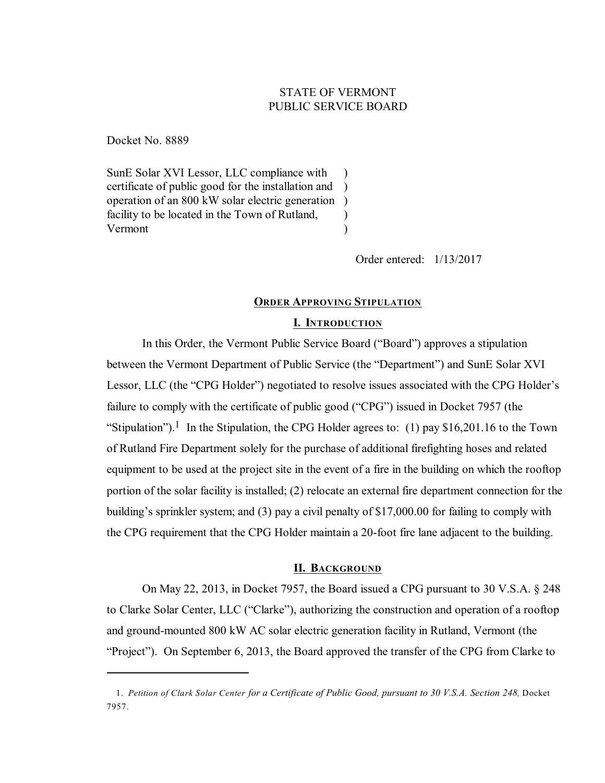# STATE OF VERMONT PUBLIC SERVICE BOARD

Docket No. 8889

SunE Solar XVI Lessor, LLC compliance with certificate of public good for the installation and ) operation of an 800 kW solar electric generation ) facility to be located in the Town of Rutland, Vermont ) ) )

Order entered: 1/13/2017

### **ORDER APPROVING STIPULATION**

# **I. INTRODUCTION**

In this Order, the Vermont Public Service Board ("Board") approves a stipulation between the Vermont Department of Public Service (the "Department") and SunE Solar XVI Lessor, LLC (the "CPG Holder") negotiated to resolve issues associated with the CPG Holder's failure to comply with the certificate of public good ("CPG") issued in Docket 7957 (the "Stipulation").<sup>1</sup> In the Stipulation, the CPG Holder agrees to: (1) pay \$16,201.16 to the Town of Rutland Fire Department solely for the purchase of additional firefighting hoses and related equipment to be used at the project site in the event of a fire in the building on which the rooftop portion of the solar facility is installed; (2) relocate an external fire department connection for the building's sprinkler system; and (3) pay a civil penalty of \$17,000.00 for failing to comply with the CPG requirement that the CPG Holder maintain a 20-foot fire lane adjacent to the building.

### **II. BACKGROUND**

On May 22, 2013, in Docket 7957, the Board issued a CPG pursuant to 30 V.S.A. § 248 to Clarke Solar Center, LLC ("Clarke"), authorizing the construction and operation of a rooftop and ground-mounted 800 kW AC solar electric generation facility in Rutland, Vermont (the "Project"). On September 6, 2013, the Board approved the transfer of the CPG from Clarke to

<sup>1.</sup> *Petition of Clark Solar Center for a Certificate of Public Good, pursuant to 30 V.S.A. Section 248,* Docket 7957.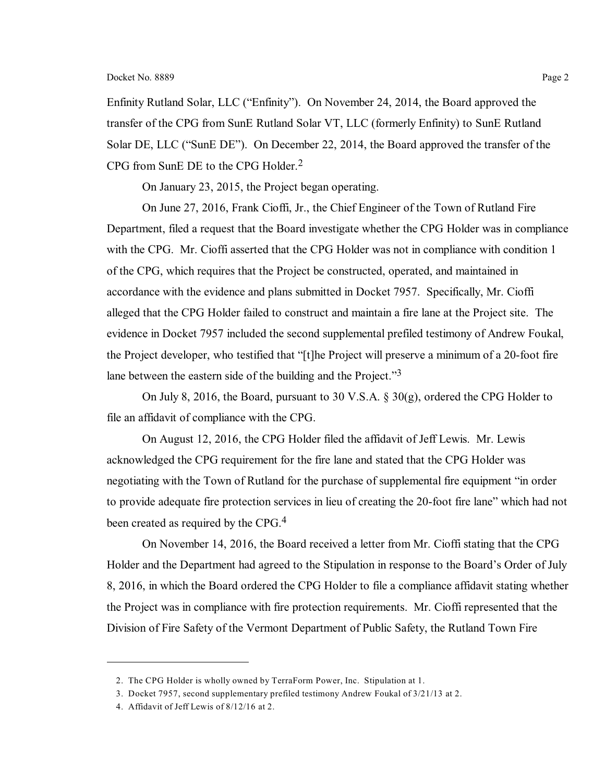Enfinity Rutland Solar, LLC ("Enfinity"). On November 24, 2014, the Board approved the transfer of the CPG from SunE Rutland Solar VT, LLC (formerly Enfinity) to SunE Rutland Solar DE, LLC ("SunE DE"). On December 22, 2014, the Board approved the transfer of the CPG from SunE DE to the CPG Holder.<sup>2</sup>

On January 23, 2015, the Project began operating.

On June 27, 2016, Frank Cioffi, Jr., the Chief Engineer of the Town of Rutland Fire Department, filed a request that the Board investigate whether the CPG Holder was in compliance with the CPG. Mr. Cioffi asserted that the CPG Holder was not in compliance with condition 1 of the CPG, which requires that the Project be constructed, operated, and maintained in accordance with the evidence and plans submitted in Docket 7957. Specifically, Mr. Cioffi alleged that the CPG Holder failed to construct and maintain a fire lane at the Project site. The evidence in Docket 7957 included the second supplemental prefiled testimony of Andrew Foukal, the Project developer, who testified that "[t]he Project will preserve a minimum of a 20-foot fire lane between the eastern side of the building and the Project."<sup>3</sup>

On July 8, 2016, the Board, pursuant to 30 V.S.A. § 30(g), ordered the CPG Holder to file an affidavit of compliance with the CPG.

On August 12, 2016, the CPG Holder filed the affidavit of Jeff Lewis. Mr. Lewis acknowledged the CPG requirement for the fire lane and stated that the CPG Holder was negotiating with the Town of Rutland for the purchase of supplemental fire equipment "in order to provide adequate fire protection services in lieu of creating the 20-foot fire lane" which had not been created as required by the CPG.<sup>4</sup>

On November 14, 2016, the Board received a letter from Mr. Cioffi stating that the CPG Holder and the Department had agreed to the Stipulation in response to the Board's Order of July 8, 2016, in which the Board ordered the CPG Holder to file a compliance affidavit stating whether the Project was in compliance with fire protection requirements. Mr. Cioffi represented that the Division of Fire Safety of the Vermont Department of Public Safety, the Rutland Town Fire

<sup>2.</sup> The CPG Holder is wholly owned by TerraForm Power, Inc. Stipulation at 1.

<sup>3.</sup> Docket 7957, second supplementary prefiled testimony Andrew Foukal of 3/21/13 at 2.

<sup>4.</sup> Affidavit of Jeff Lewis of 8/12/16 at 2.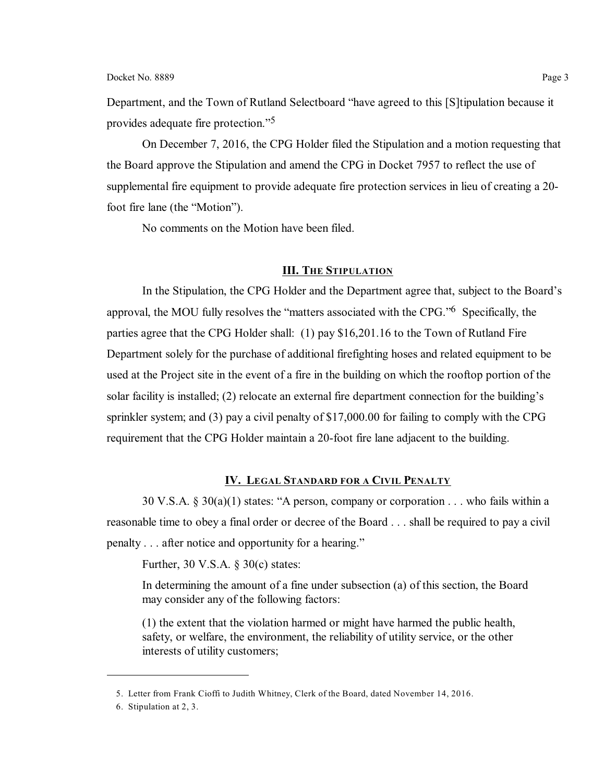Department, and the Town of Rutland Selectboard "have agreed to this [S]tipulation because it provides adequate fire protection." 5

On December 7, 2016, the CPG Holder filed the Stipulation and a motion requesting that the Board approve the Stipulation and amend the CPG in Docket 7957 to reflect the use of supplemental fire equipment to provide adequate fire protection services in lieu of creating a 20 foot fire lane (the "Motion").

No comments on the Motion have been filed.

#### **III. THE STIPULATION**

In the Stipulation, the CPG Holder and the Department agree that, subject to the Board's approval, the MOU fully resolves the "matters associated with the CPG."<sup>6</sup> Specifically, the parties agree that the CPG Holder shall: (1) pay \$16,201.16 to the Town of Rutland Fire Department solely for the purchase of additional firefighting hoses and related equipment to be used at the Project site in the event of a fire in the building on which the rooftop portion of the solar facility is installed; (2) relocate an external fire department connection for the building's sprinkler system; and (3) pay a civil penalty of \$17,000.00 for failing to comply with the CPG requirement that the CPG Holder maintain a 20-foot fire lane adjacent to the building.

### **IV. LEGAL STANDARD FOR A CIVIL PENALTY**

30 V.S.A. § 30(a)(1) states: "A person, company or corporation . . . who fails within a reasonable time to obey a final order or decree of the Board . . . shall be required to pay a civil penalty . . . after notice and opportunity for a hearing."

Further, 30 V.S.A. § 30(c) states:

In determining the amount of a fine under subsection (a) of this section, the Board may consider any of the following factors:

(1) the extent that the violation harmed or might have harmed the public health, safety, or welfare, the environment, the reliability of utility service, or the other interests of utility customers;

<sup>5.</sup> Letter from Frank Cioffi to Judith Whitney, Clerk of the Board, dated November 14, 2016.

<sup>6.</sup> Stipulation at 2, 3.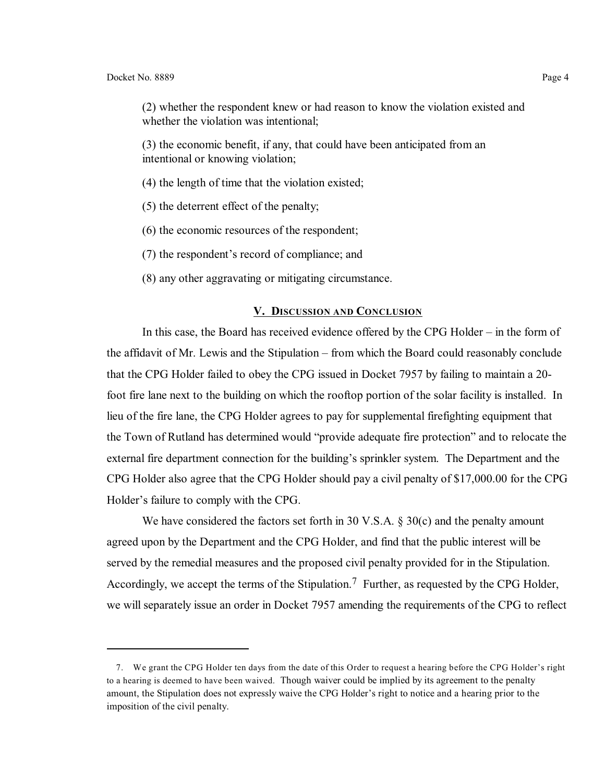(2) whether the respondent knew or had reason to know the violation existed and whether the violation was intentional;

(3) the economic benefit, if any, that could have been anticipated from an intentional or knowing violation;

- (4) the length of time that the violation existed;
- (5) the deterrent effect of the penalty;
- (6) the economic resources of the respondent;
- (7) the respondent's record of compliance; and
- (8) any other aggravating or mitigating circumstance.

### **V. DISCUSSION AND CONCLUSION**

In this case, the Board has received evidence offered by the CPG Holder – in the form of the affidavit of Mr. Lewis and the Stipulation – from which the Board could reasonably conclude that the CPG Holder failed to obey the CPG issued in Docket 7957 by failing to maintain a 20 foot fire lane next to the building on which the rooftop portion of the solar facility is installed. In lieu of the fire lane, the CPG Holder agrees to pay for supplemental firefighting equipment that the Town of Rutland has determined would "provide adequate fire protection" and to relocate the external fire department connection for the building's sprinkler system. The Department and the CPG Holder also agree that the CPG Holder should pay a civil penalty of \$17,000.00 for the CPG Holder's failure to comply with the CPG.

We have considered the factors set forth in 30 V.S.A. § 30(c) and the penalty amount agreed upon by the Department and the CPG Holder, and find that the public interest will be served by the remedial measures and the proposed civil penalty provided for in the Stipulation. Accordingly, we accept the terms of the Stipulation.<sup>7</sup> Further, as requested by the CPG Holder, we will separately issue an order in Docket 7957 amending the requirements of the CPG to reflect

<sup>7.</sup> We grant the CPG Holder ten days from the date of this Order to request a hearing before the CPG Holder's right to a hearing is deemed to have been waived. Though waiver could be implied by its agreement to the penalty amount, the Stipulation does not expressly waive the CPG Holder's right to notice and a hearing prior to the imposition of the civil penalty.